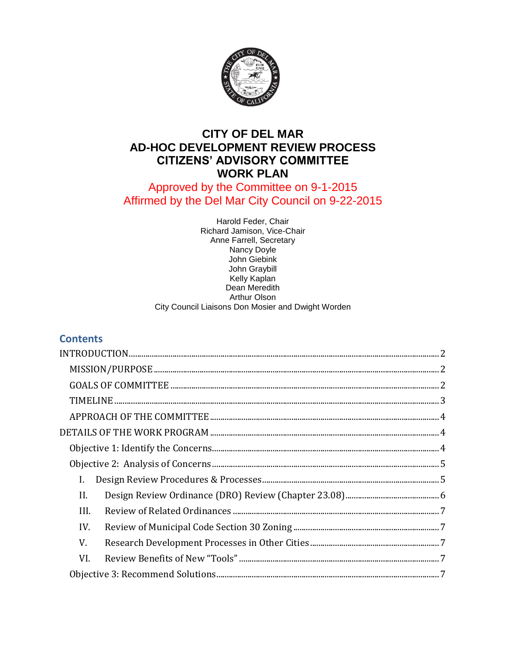

# **CITY OF DEL MAR AD-HOC DEVELOPMENT REVIEW PROCESS CITIZENS' ADVISORY COMMITTEE WORK PLAN**

# Approved by the Committee on 9-1-2015 Affirmed by the Del Mar City Council on 9-22-2015

Harold Feder, Chair Richard Jamison, Vice-Chair Anne Farrell, Secretary Nancy Doyle John Giebink John Graybill Kelly Kaplan Dean Meredith Arthur Olson City Council Liaisons Don Mosier and Dwight Worden

# **Contents**

| INTRODUCTION 2                                                                                                                                                                                                                                                                                                                                                        |
|-----------------------------------------------------------------------------------------------------------------------------------------------------------------------------------------------------------------------------------------------------------------------------------------------------------------------------------------------------------------------|
| $\textbf{MISSION/PURPOSE}\textcolor{red}{\bm{5.66} \textbf{0.67}}\textbf{0.77} \textbf{1.78} \textbf{1.79} \textbf{1.79} \textbf{1.79} \textbf{1.79} \textbf{1.79} \textbf{1.79} \textbf{1.79} \textbf{1.79} \textbf{1.79} \textbf{1.79} \textbf{1.79} \textbf{1.79} \textbf{1.79} \textbf{1.79} \textbf{1.79} \textbf{1.79} \textbf{1.79} \textbf{1.79} \textbf{1.7$ |
|                                                                                                                                                                                                                                                                                                                                                                       |
|                                                                                                                                                                                                                                                                                                                                                                       |
|                                                                                                                                                                                                                                                                                                                                                                       |
|                                                                                                                                                                                                                                                                                                                                                                       |
|                                                                                                                                                                                                                                                                                                                                                                       |
|                                                                                                                                                                                                                                                                                                                                                                       |
| I.                                                                                                                                                                                                                                                                                                                                                                    |
| II.                                                                                                                                                                                                                                                                                                                                                                   |
| III.                                                                                                                                                                                                                                                                                                                                                                  |
| IV.                                                                                                                                                                                                                                                                                                                                                                   |
| V.                                                                                                                                                                                                                                                                                                                                                                    |
| VI.                                                                                                                                                                                                                                                                                                                                                                   |
|                                                                                                                                                                                                                                                                                                                                                                       |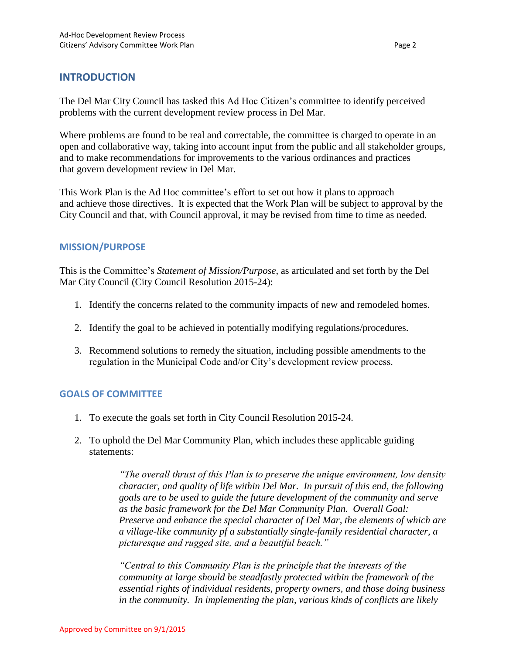# <span id="page-1-0"></span>**INTRODUCTION**

The Del Mar City Council has tasked this Ad Hoc Citizen's committee to identify perceived problems with the current development review process in Del Mar.

Where problems are found to be real and correctable, the committee is charged to operate in an open and collaborative way, taking into account input from the public and all stakeholder groups, and to make recommendations for improvements to the various ordinances and practices that govern development review in Del Mar.

This Work Plan is the Ad Hoc committee's effort to set out how it plans to approach and achieve those directives. It is expected that the Work Plan will be subject to approval by the City Council and that, with Council approval, it may be revised from time to time as needed.

## <span id="page-1-1"></span>**MISSION/PURPOSE**

This is the Committee's *Statement of Mission/Purpose*, as articulated and set forth by the Del Mar City Council (City Council Resolution 2015-24):

- 1. Identify the concerns related to the community impacts of new and remodeled homes.
- 2. Identify the goal to be achieved in potentially modifying regulations/procedures.
- 3. Recommend solutions to remedy the situation, including possible amendments to the regulation in the Municipal Code and/or City's development review process.

### <span id="page-1-2"></span>**GOALS OF COMMITTEE**

- 1. To execute the goals set forth in City Council Resolution 2015-24.
- 2. To uphold the Del Mar Community Plan, which includes these applicable guiding statements:

*"The overall thrust of this Plan is to preserve the unique environment, low density character, and quality of life within Del Mar. In pursuit of this end, the following goals are to be used to guide the future development of the community and serve as the basic framework for the Del Mar Community Plan. Overall Goal: Preserve and enhance the special character of Del Mar, the elements of which are a village-like community pf a substantially single-family residential character, a picturesque and rugged site, and a beautiful beach."*

*"Central to this Community Plan is the principle that the interests of the community at large should be steadfastly protected within the framework of the essential rights of individual residents, property owners, and those doing business in the community. In implementing the plan, various kinds of conflicts are likely*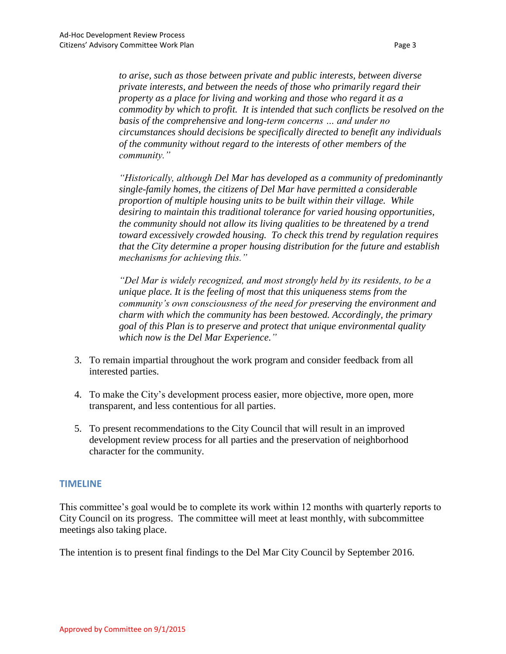*to arise, such as those between private and public interests, between diverse private interests, and between the needs of those who primarily regard their property as a place for living and working and those who regard it as a commodity by which to profit. It is intended that such conflicts be resolved on the basis of the comprehensive and long-term concerns … and under no circumstances should decisions be specifically directed to benefit any individuals of the community without regard to the interests of other members of the community."*

*"Historically, although Del Mar has developed as a community of predominantly single-family homes, the citizens of Del Mar have permitted a considerable proportion of multiple housing units to be built within their village. While desiring to maintain this traditional tolerance for varied housing opportunities, the community should not allow its living qualities to be threatened by a trend toward excessively crowded housing. To check this trend by regulation requires that the City determine a proper housing distribution for the future and establish mechanisms for achieving this."*

*"Del Mar is widely recognized, and most strongly held by its residents, to be a unique place. It is the feeling of most that this uniqueness stems from the community's own consciousness of the need for preserving the environment and charm with which the community has been bestowed. Accordingly, the primary goal of this Plan is to preserve and protect that unique environmental quality which now is the Del Mar Experience."*

- 3. To remain impartial throughout the work program and consider feedback from all interested parties.
- 4. To make the City's development process easier, more objective, more open, more transparent, and less contentious for all parties.
- 5. To present recommendations to the City Council that will result in an improved development review process for all parties and the preservation of neighborhood character for the community.

#### <span id="page-2-0"></span>**TIMELINE**

This committee's goal would be to complete its work within 12 months with quarterly reports to City Council on its progress. The committee will meet at least monthly, with subcommittee meetings also taking place.

The intention is to present final findings to the Del Mar City Council by September 2016.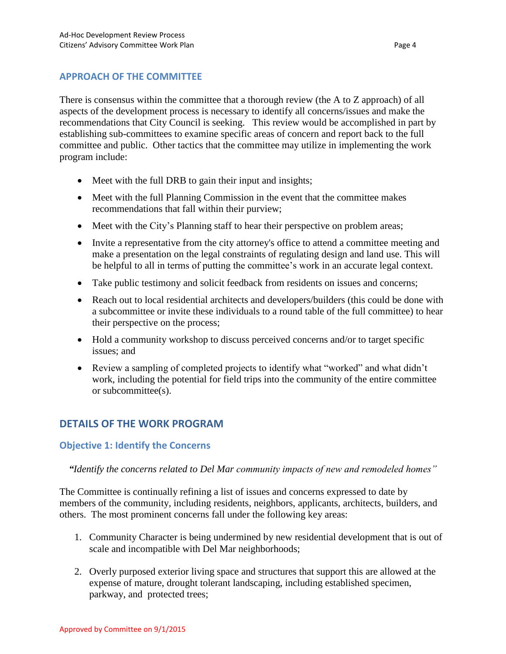## <span id="page-3-0"></span>**APPROACH OF THE COMMITTEE**

There is consensus within the committee that a thorough review (the A to Z approach) of all aspects of the development process is necessary to identify all concerns/issues and make the recommendations that City Council is seeking. This review would be accomplished in part by establishing sub-committees to examine specific areas of concern and report back to the full committee and public. Other tactics that the committee may utilize in implementing the work program include:

- Meet with the full DRB to gain their input and insights;
- Meet with the full Planning Commission in the event that the committee makes recommendations that fall within their purview;
- Meet with the City's Planning staff to hear their perspective on problem areas;
- Invite a representative from the city attorney's office to attend a committee meeting and make a presentation on the legal constraints of regulating design and land use. This will be helpful to all in terms of putting the committee's work in an accurate legal context.
- Take public testimony and solicit feedback from residents on issues and concerns;
- Reach out to local residential architects and developers/builders (this could be done with a subcommittee or invite these individuals to a round table of the full committee) to hear their perspective on the process;
- Hold a community workshop to discuss perceived concerns and/or to target specific issues; and
- Review a sampling of completed projects to identify what "worked" and what didn't work, including the potential for field trips into the community of the entire committee or subcommittee(s).

# <span id="page-3-1"></span>**DETAILS OF THE WORK PROGRAM**

#### <span id="page-3-2"></span>**Objective 1: Identify the Concerns**

#### *"Identify the concerns related to Del Mar community impacts of new and remodeled homes"*

The Committee is continually refining a list of issues and concerns expressed to date by members of the community, including residents, neighbors, applicants, architects, builders, and others. The most prominent concerns fall under the following key areas:

- 1. Community Character is being undermined by new residential development that is out of scale and incompatible with Del Mar neighborhoods;
- 2. Overly purposed exterior living space and structures that support this are allowed at the expense of mature, drought tolerant landscaping, including established specimen, parkway, and protected trees;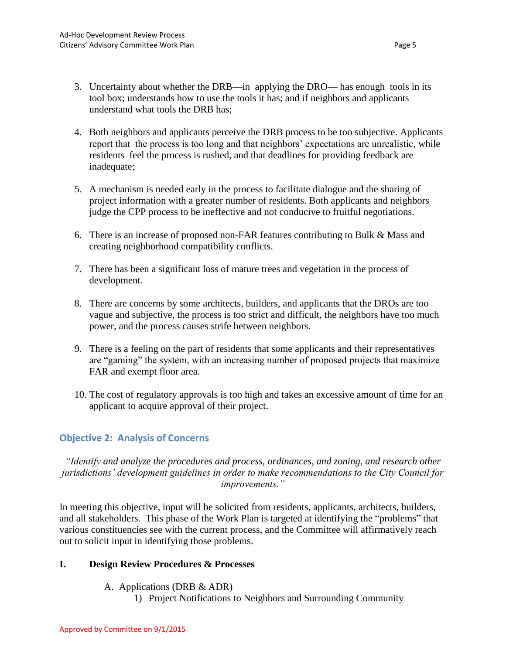- 3. Uncertainty about whether the DRB—in applying the DRO— has enough tools in its tool box; understands how to use the tools it has; and if neighbors and applicants understand what tools the DRB has;
- 4. Both neighbors and applicants perceive the DRB process to be too subjective. Applicants report that the process is too long and that neighbors' expectations are unrealistic, while residents feel the process is rushed, and that deadlines for providing feedback are inadequate;
- 5. A mechanism is needed early in the process to facilitate dialogue and the sharing of project information with a greater number of residents. Both applicants and neighbors judge the CPP process to be ineffective and not conducive to fruitful negotiations.
- 6. There is an increase of proposed non-FAR features contributing to Bulk & Mass and creating neighborhood compatibility conflicts.
- 7. There has been a significant loss of mature trees and vegetation in the process of development.
- 8. There are concerns by some architects, builders, and applicants that the DROs are too vague and subjective, the process is too strict and difficult, the neighbors have too much power, and the process causes strife between neighbors.
- 9. There is a feeling on the part of residents that some applicants and their representatives are "gaming" the system, with an increasing number of proposed projects that maximize FAR and exempt floor area.
- 10. The cost of regulatory approvals is too high and takes an excessive amount of time for an applicant to acquire approval of their project.

# <span id="page-4-0"></span>**Objective 2: Analysis of Concerns**

*"Identify and analyze the procedures and process, ordinances, and zoning, and research other jurisdictions' development guidelines in order to make recommendations to the City Council for improvements."*

In meeting this objective, input will be solicited from residents, applicants, architects, builders, and all stakeholders. This phase of the Work Plan is targeted at identifying the "problems" that various constituencies see with the current process, and the Committee will affirmatively reach out to solicit input in identifying those problems.

# <span id="page-4-1"></span>**I. Design Review Procedures & Processes**

- A. Applications (DRB & ADR)
	- 1) Project Notifications to Neighbors and Surrounding Community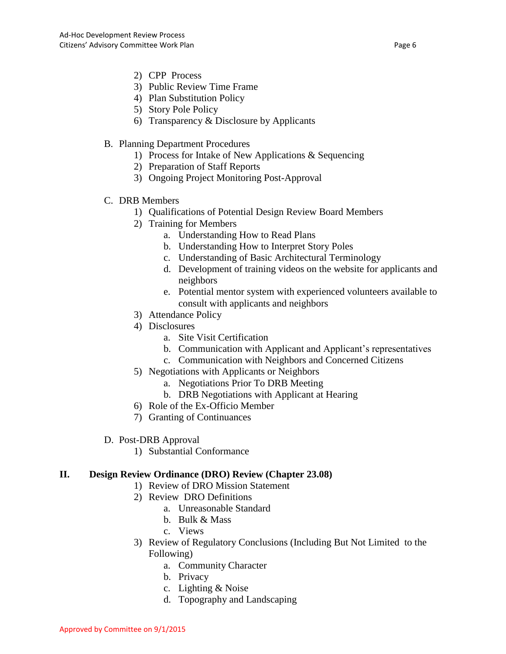- 2) CPP Process
- 3) Public Review Time Frame
- 4) Plan Substitution Policy
- 5) Story Pole Policy
- 6) Transparency & Disclosure by Applicants
- B. Planning Department Procedures
	- 1) Process for Intake of New Applications & Sequencing
	- 2) Preparation of Staff Reports
	- 3) Ongoing Project Monitoring Post-Approval
- C. DRB Members
	- 1) Qualifications of Potential Design Review Board Members
	- 2) Training for Members
		- a. Understanding How to Read Plans
		- b. Understanding How to Interpret Story Poles
		- c. Understanding of Basic Architectural Terminology
		- d. Development of training videos on the website for applicants and neighbors
		- e. Potential mentor system with experienced volunteers available to consult with applicants and neighbors
	- 3) Attendance Policy
	- 4) Disclosures
		- a. Site Visit Certification
		- b. Communication with Applicant and Applicant's representatives
		- c. Communication with Neighbors and Concerned Citizens
	- 5) Negotiations with Applicants or Neighbors
		- a. Negotiations Prior To DRB Meeting
		- b. DRB Negotiations with Applicant at Hearing
	- 6) Role of the Ex-Officio Member
	- 7) Granting of Continuances
- D. Post-DRB Approval
	- 1) Substantial Conformance

### <span id="page-5-0"></span>**II. Design Review Ordinance (DRO) Review (Chapter 23.08)**

- 1) Review of DRO Mission Statement
- 2) Review DRO Definitions
	- a. Unreasonable Standard
	- b. Bulk & Mass
	- c. Views
- 3) Review of Regulatory Conclusions (Including But Not Limited to the Following)
	- a. Community Character
	- b. Privacy
	- c. Lighting & Noise
	- d. Topography and Landscaping